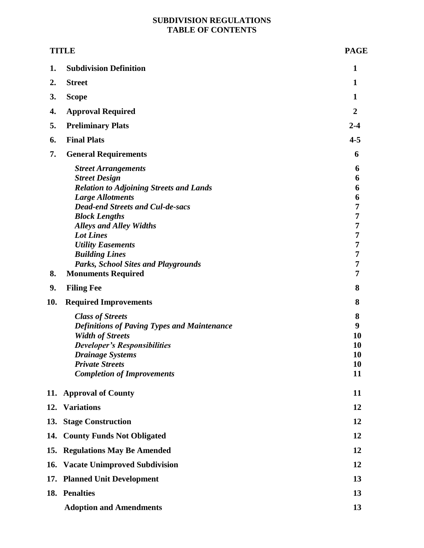# **SUBDIVISION REGULATIONS TABLE OF CONTENTS**

| <b>TITLE</b> |                                                                                                                                                                                                                                                                                                                                                                                          | <b>PAGE</b>                                                                        |
|--------------|------------------------------------------------------------------------------------------------------------------------------------------------------------------------------------------------------------------------------------------------------------------------------------------------------------------------------------------------------------------------------------------|------------------------------------------------------------------------------------|
| 1.           | <b>Subdivision Definition</b>                                                                                                                                                                                                                                                                                                                                                            | $\mathbf{1}$                                                                       |
| 2.           | <b>Street</b>                                                                                                                                                                                                                                                                                                                                                                            | 1                                                                                  |
| 3.           | <b>Scope</b>                                                                                                                                                                                                                                                                                                                                                                             | 1                                                                                  |
| 4.           | <b>Approval Required</b>                                                                                                                                                                                                                                                                                                                                                                 | $\overline{2}$                                                                     |
| 5.           | <b>Preliminary Plats</b>                                                                                                                                                                                                                                                                                                                                                                 | $2 - 4$                                                                            |
| 6.           | <b>Final Plats</b>                                                                                                                                                                                                                                                                                                                                                                       | $4 - 5$                                                                            |
| 7.           | <b>General Requirements</b>                                                                                                                                                                                                                                                                                                                                                              | 6                                                                                  |
| 8.           | <b>Street Arrangements</b><br><b>Street Design</b><br><b>Relation to Adjoining Streets and Lands</b><br><b>Large Allotments</b><br><b>Dead-end Streets and Cul-de-sacs</b><br><b>Block Lengths</b><br><b>Alleys and Alley Widths</b><br><b>Lot Lines</b><br><b>Utility Easements</b><br><b>Building Lines</b><br><b>Parks, School Sites and Playgrounds</b><br><b>Monuments Required</b> | 6<br>6<br>6<br>6<br>7<br>$\overline{7}$<br>7<br>7<br>7<br>7<br>$\overline{7}$<br>7 |
| 9.           | <b>Filing Fee</b>                                                                                                                                                                                                                                                                                                                                                                        | 8                                                                                  |
| 10.          | <b>Required Improvements</b><br><b>Class of Streets</b><br><b>Definitions of Paving Types and Maintenance</b><br><b>Width of Streets</b><br><b>Developer's Responsibilities</b><br><b>Drainage Systems</b><br><b>Private Streets</b><br><b>Completion of Improvements</b>                                                                                                                | 8<br>8<br>9<br>10<br>10<br>10<br>10<br>11                                          |
|              | 11. Approval of County                                                                                                                                                                                                                                                                                                                                                                   | 11                                                                                 |
|              | 12. Variations                                                                                                                                                                                                                                                                                                                                                                           | 12                                                                                 |
|              | 13. Stage Construction                                                                                                                                                                                                                                                                                                                                                                   | 12                                                                                 |
|              | 14. County Funds Not Obligated                                                                                                                                                                                                                                                                                                                                                           | 12                                                                                 |
|              | 15. Regulations May Be Amended                                                                                                                                                                                                                                                                                                                                                           | 12                                                                                 |
|              | 16. Vacate Unimproved Subdivision                                                                                                                                                                                                                                                                                                                                                        | 12                                                                                 |
|              | 17. Planned Unit Development                                                                                                                                                                                                                                                                                                                                                             | 13                                                                                 |
|              | 18. Penalties                                                                                                                                                                                                                                                                                                                                                                            | 13                                                                                 |
|              | <b>Adoption and Amendments</b>                                                                                                                                                                                                                                                                                                                                                           | 13                                                                                 |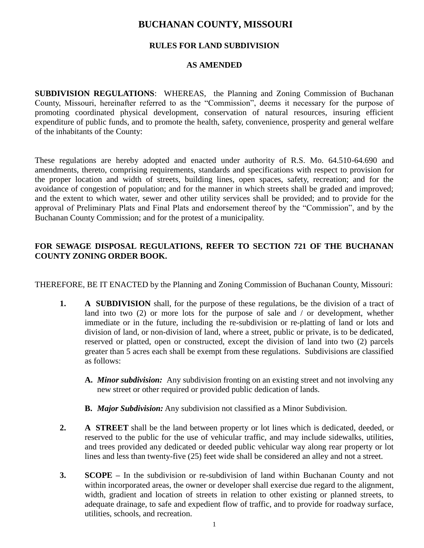# **BUCHANAN COUNTY, MISSOURI**

# **RULES FOR LAND SUBDIVISION**

# **AS AMENDED**

**SUBDIVISION REGULATIONS**: WHEREAS, the Planning and Zoning Commission of Buchanan County, Missouri, hereinafter referred to as the "Commission", deems it necessary for the purpose of promoting coordinated physical development, conservation of natural resources, insuring efficient expenditure of public funds, and to promote the health, safety, convenience, prosperity and general welfare of the inhabitants of the County:

These regulations are hereby adopted and enacted under authority of R.S. Mo. 64.510-64.690 and amendments, thereto, comprising requirements, standards and specifications with respect to provision for the proper location and width of streets, building lines, open spaces, safety, recreation; and for the avoidance of congestion of population; and for the manner in which streets shall be graded and improved; and the extent to which water, sewer and other utility services shall be provided; and to provide for the approval of Preliminary Plats and Final Plats and endorsement thereof by the "Commission", and by the Buchanan County Commission; and for the protest of a municipality.

# **FOR SEWAGE DISPOSAL REGULATIONS, REFER TO SECTION 721 OF THE BUCHANAN COUNTY ZONING ORDER BOOK.**

THEREFORE, BE IT ENACTED by the Planning and Zoning Commission of Buchanan County, Missouri:

- **1. A SUBDIVISION** shall, for the purpose of these regulations, be the division of a tract of land into two (2) or more lots for the purpose of sale and / or development, whether immediate or in the future, including the re-subdivision or re-platting of land or lots and division of land, or non-division of land, where a street, public or private, is to be dedicated, reserved or platted, open or constructed, except the division of land into two (2) parcels greater than 5 acres each shall be exempt from these regulations. Subdivisions are classified as follows:
	- **A.** *Minor subdivision:* Any subdivision fronting on an existing street and not involving any new street or other required or provided public dedication of lands.
	- **B.** *Major Subdivision:* Any subdivision not classified as a Minor Subdivision.
- **2. A STREET** shall be the land between property or lot lines which is dedicated, deeded, or reserved to the public for the use of vehicular traffic, and may include sidewalks, utilities, and trees provided any dedicated or deeded public vehicular way along rear property or lot lines and less than twenty-five (25) feet wide shall be considered an alley and not a street.
- **3. SCOPE –** In the subdivision or re-subdivision of land within Buchanan County and not within incorporated areas, the owner or developer shall exercise due regard to the alignment, width, gradient and location of streets in relation to other existing or planned streets, to adequate drainage, to safe and expedient flow of traffic, and to provide for roadway surface, utilities, schools, and recreation.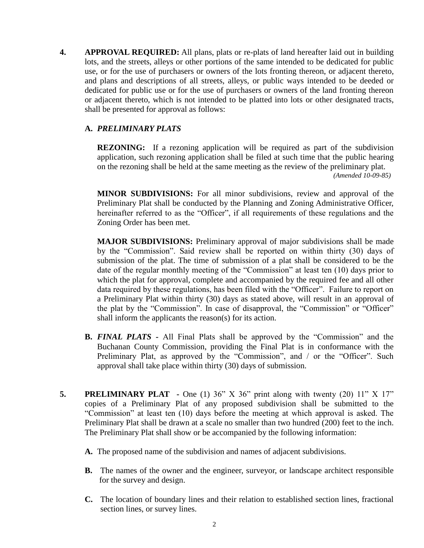**4. APPROVAL REQUIRED:** All plans, plats or re-plats of land hereafter laid out in building lots, and the streets, alleys or other portions of the same intended to be dedicated for public use, or for the use of purchasers or owners of the lots fronting thereon, or adjacent thereto, and plans and descriptions of all streets, alleys, or public ways intended to be deeded or dedicated for public use or for the use of purchasers or owners of the land fronting thereon or adjacent thereto, which is not intended to be platted into lots or other designated tracts, shall be presented for approval as follows:

## **A.** *PRELIMINARY PLATS*

**REZONING:** If a rezoning application will be required as part of the subdivision application, such rezoning application shall be filed at such time that the public hearing on the rezoning shall be held at the same meeting as the review of the preliminary plat.  *(Amended 10-09-85)*

**MINOR SUBDIVISIONS:** For all minor subdivisions, review and approval of the Preliminary Plat shall be conducted by the Planning and Zoning Administrative Officer, hereinafter referred to as the "Officer", if all requirements of these regulations and the Zoning Order has been met.

**MAJOR SUBDIVISIONS:** Preliminary approval of major subdivisions shall be made by the "Commission". Said review shall be reported on within thirty (30) days of submission of the plat. The time of submission of a plat shall be considered to be the date of the regular monthly meeting of the "Commission" at least ten (10) days prior to which the plat for approval, complete and accompanied by the required fee and all other data required by these regulations, has been filed with the "Officer". Failure to report on a Preliminary Plat within thirty (30) days as stated above, will result in an approval of the plat by the "Commission". In case of disapproval, the "Commission" or "Officer" shall inform the applicants the reason(s) for its action.

- **B.** *FINAL PLATS* **-** All Final Plats shall be approved by the "Commission" and the Buchanan County Commission, providing the Final Plat is in conformance with the Preliminary Plat, as approved by the "Commission", and / or the "Officer". Such approval shall take place within thirty (30) days of submission.
- **5. PRELIMINARY PLAT** One (1) 36" X 36" print along with twenty (20) 11" X 17" copies of a Preliminary Plat of any proposed subdivision shall be submitted to the "Commission" at least ten (10) days before the meeting at which approval is asked. The Preliminary Plat shall be drawn at a scale no smaller than two hundred (200) feet to the inch. The Preliminary Plat shall show or be accompanied by the following information:
	- **A.** The proposed name of the subdivision and names of adjacent subdivisions.
	- **B.** The names of the owner and the engineer, surveyor, or landscape architect responsible for the survey and design.
	- **C.** The location of boundary lines and their relation to established section lines, fractional section lines, or survey lines.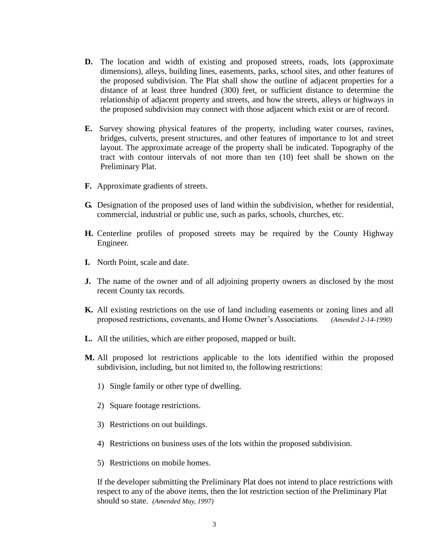- **D.** The location and width of existing and proposed streets, roads, lots (approximate dimensions), alleys, building lines, easements, parks, school sites, and other features of the proposed subdivision. The Plat shall show the outline of adjacent properties for a distance of at least three hundred (300) feet, or sufficient distance to determine the relationship of adjacent property and streets, and how the streets, alleys or highways in the proposed subdivision may connect with those adjacent which exist or are of record.
- **E.** Survey showing physical features of the property, including water courses, ravines, bridges, culverts, present structures, and other features of importance to lot and street layout. The approximate acreage of the property shall be indicated. Topography of the tract with contour intervals of not more than ten (10) feet shall be shown on the Preliminary Plat.
- **F.** Approximate gradients of streets.
- **G.** Designation of the proposed uses of land within the subdivision, whether for residential, commercial, industrial or public use, such as parks, schools, churches, etc.
- **H.** Centerline profiles of proposed streets may be required by the County Highway Engineer.
- **I.** North Point, scale and date.
- **J.** The name of the owner and of all adjoining property owners as disclosed by the most recent County tax records.
- **K.** All existing restrictions on the use of land including easements or zoning lines and all proposed restrictions, covenants, and Home Owner's Associations*. (Amended 2-14-1990)*
- **L.** All the utilities, which are either proposed, mapped or built.
- **M.** All proposed lot restrictions applicable to the lots identified within the proposed subdivision, including, but not limited to, the following restrictions:
	- 1) Single family or other type of dwelling.
	- 2) Square footage restrictions.
	- 3) Restrictions on out buildings.
	- 4) Restrictions on business uses of the lots within the proposed subdivision.
	- 5) Restrictions on mobile homes.

If the developer submitting the Preliminary Plat does not intend to place restrictions with respect to any of the above items, then the lot restriction section of the Preliminary Plat should so state. *(Amended May, 1997)*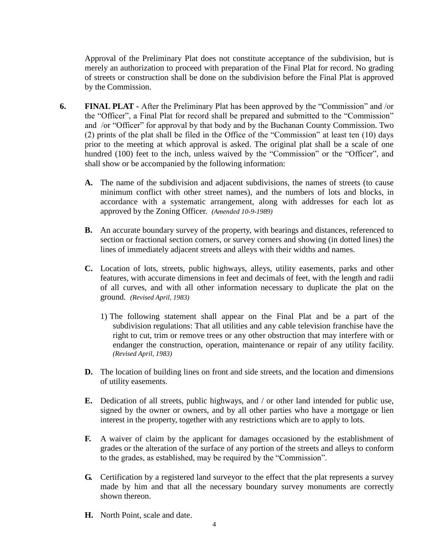Approval of the Preliminary Plat does not constitute acceptance of the subdivision, but is merely an authorization to proceed with preparation of the Final Plat for record. No grading of streets or construction shall be done on the subdivision before the Final Plat is approved by the Commission.

- **6. FINAL PLAT -** After the Preliminary Plat has been approved by the "Commission" and /or the "Officer", a Final Plat for record shall be prepared and submitted to the "Commission" and /or "Officer" for approval by that body and by the Buchanan County Commission. Two (2) prints of the plat shall be filed in the Office of the "Commission" at least ten (10) days prior to the meeting at which approval is asked. The original plat shall be a scale of one hundred (100) feet to the inch, unless waived by the "Commission" or the "Officer", and shall show or be accompanied by the following information:
	- **A.** The name of the subdivision and adjacent subdivisions, the names of streets (to cause minimum conflict with other street names), and the numbers of lots and blocks, in accordance with a systematic arrangement, along with addresses for each lot as approved by the Zoning Officer. *(Amended 10-9-1989)*
	- **B.** An accurate boundary survey of the property, with bearings and distances, referenced to section or fractional section corners, or survey corners and showing (in dotted lines) the lines of immediately adjacent streets and alleys with their widths and names.
	- **C.** Location of lots, streets, public highways, alleys, utility easements, parks and other features, with accurate dimensions in feet and decimals of feet, with the length and radii of all curves, and with all other information necessary to duplicate the plat on the ground. *(Revised April, 1983)*
		- 1) The following statement shall appear on the Final Plat and be a part of the subdivision regulations: That all utilities and any cable television franchise have the right to cut, trim or remove trees or any other obstruction that may interfere with or endanger the construction, operation, maintenance or repair of any utility facility. *(Revised April, 1983)*
	- **D.** The location of building lines on front and side streets, and the location and dimensions of utility easements.
	- **E.** Dedication of all streets, public highways, and / or other land intended for public use, signed by the owner or owners, and by all other parties who have a mortgage or lien interest in the property, together with any restrictions which are to apply to lots.
	- **F.** A waiver of claim by the applicant for damages occasioned by the establishment of grades or the alteration of the surface of any portion of the streets and alleys to conform to the grades, as established, may be required by the "Commission".
	- **G.** Certification by a registered land surveyor to the effect that the plat represents a survey made by him and that all the necessary boundary survey monuments are correctly shown thereon.
	- **H.** North Point, scale and date.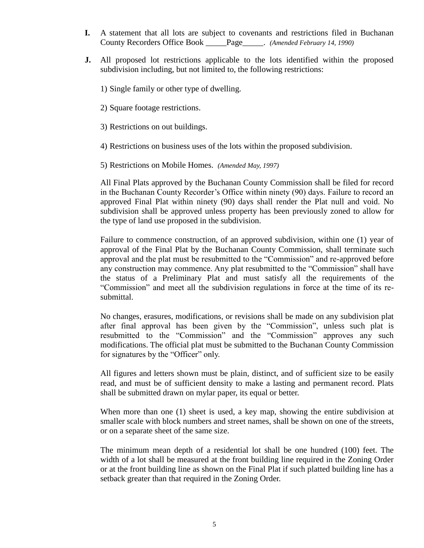- **I.** A statement that all lots are subject to covenants and restrictions filed in Buchanan County Recorders Office Book \_\_\_\_\_Page\_\_\_\_\_. *(Amended February 14, 1990)*
- **J.** All proposed lot restrictions applicable to the lots identified within the proposed subdivision including, but not limited to, the following restrictions:
	- 1) Single family or other type of dwelling.
	- 2) Square footage restrictions.
	- 3) Restrictions on out buildings.
	- 4) Restrictions on business uses of the lots within the proposed subdivision.
	- 5) Restrictions on Mobile Homes. *(Amended May, 1997)*

All Final Plats approved by the Buchanan County Commission shall be filed for record in the Buchanan County Recorder's Office within ninety (90) days. Failure to record an approved Final Plat within ninety (90) days shall render the Plat null and void. No subdivision shall be approved unless property has been previously zoned to allow for the type of land use proposed in the subdivision.

Failure to commence construction, of an approved subdivision, within one (1) year of approval of the Final Plat by the Buchanan County Commission, shall terminate such approval and the plat must be resubmitted to the "Commission" and re-approved before any construction may commence. Any plat resubmitted to the "Commission" shall have the status of a Preliminary Plat and must satisfy all the requirements of the "Commission" and meet all the subdivision regulations in force at the time of its resubmittal.

No changes, erasures, modifications, or revisions shall be made on any subdivision plat after final approval has been given by the "Commission", unless such plat is resubmitted to the "Commission" and the "Commission" approves any such modifications. The official plat must be submitted to the Buchanan County Commission for signatures by the "Officer" only.

All figures and letters shown must be plain, distinct, and of sufficient size to be easily read, and must be of sufficient density to make a lasting and permanent record. Plats shall be submitted drawn on mylar paper, its equal or better.

When more than one (1) sheet is used, a key map, showing the entire subdivision at smaller scale with block numbers and street names, shall be shown on one of the streets, or on a separate sheet of the same size.

The minimum mean depth of a residential lot shall be one hundred (100) feet. The width of a lot shall be measured at the front building line required in the Zoning Order or at the front building line as shown on the Final Plat if such platted building line has a setback greater than that required in the Zoning Order.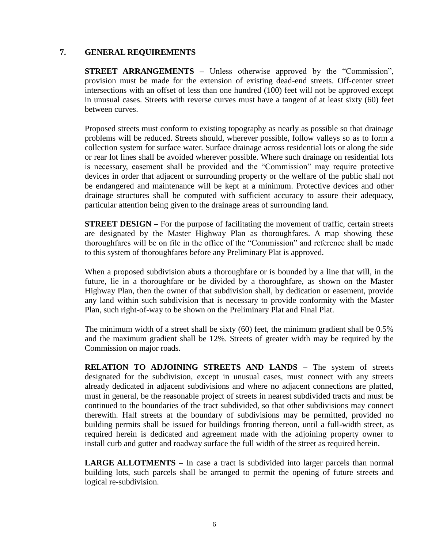#### **7. GENERAL REQUIREMENTS**

**STREET ARRANGEMENTS** – Unless otherwise approved by the "Commission", provision must be made for the extension of existing dead-end streets. Off-center street intersections with an offset of less than one hundred (100) feet will not be approved except in unusual cases. Streets with reverse curves must have a tangent of at least sixty (60) feet between curves.

Proposed streets must conform to existing topography as nearly as possible so that drainage problems will be reduced. Streets should, wherever possible, follow valleys so as to form a collection system for surface water. Surface drainage across residential lots or along the side or rear lot lines shall be avoided wherever possible. Where such drainage on residential lots is necessary, easement shall be provided and the "Commission" may require protective devices in order that adjacent or surrounding property or the welfare of the public shall not be endangered and maintenance will be kept at a minimum. Protective devices and other drainage structures shall be computed with sufficient accuracy to assure their adequacy, particular attention being given to the drainage areas of surrounding land.

**STREET DESIGN** – For the purpose of facilitating the movement of traffic, certain streets are designated by the Master Highway Plan as thoroughfares. A map showing these thoroughfares will be on file in the office of the "Commission" and reference shall be made to this system of thoroughfares before any Preliminary Plat is approved.

When a proposed subdivision abuts a thoroughfare or is bounded by a line that will, in the future, lie in a thoroughfare or be divided by a thoroughfare, as shown on the Master Highway Plan, then the owner of that subdivision shall, by dedication or easement, provide any land within such subdivision that is necessary to provide conformity with the Master Plan, such right-of-way to be shown on the Preliminary Plat and Final Plat.

The minimum width of a street shall be sixty (60) feet, the minimum gradient shall be 0.5% and the maximum gradient shall be 12%. Streets of greater width may be required by the Commission on major roads.

**RELATION TO ADJOINING STREETS AND LANDS –** The system of streets designated for the subdivision, except in unusual cases, must connect with any streets already dedicated in adjacent subdivisions and where no adjacent connections are platted, must in general, be the reasonable project of streets in nearest subdivided tracts and must be continued to the boundaries of the tract subdivided, so that other subdivisions may connect therewith. Half streets at the boundary of subdivisions may be permitted, provided no building permits shall be issued for buildings fronting thereon, until a full-width street, as required herein is dedicated and agreement made with the adjoining property owner to install curb and gutter and roadway surface the full width of the street as required herein.

**LARGE ALLOTMENTS** – In case a tract is subdivided into larger parcels than normal building lots, such parcels shall be arranged to permit the opening of future streets and logical re-subdivision.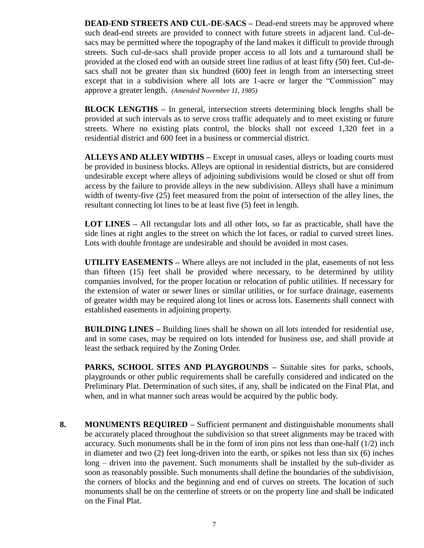**DEAD-END STREETS AND CUL-DE-SACS –** Dead-end streets may be approved where such dead-end streets are provided to connect with future streets in adjacent land. Cul-desacs may be permitted where the topography of the land makes it difficult to provide through streets. Such cul-de-sacs shall provide proper access to all lots and a turnaround shall be provided at the closed end with an outside street line radius of at least fifty (50) feet. Cul-desacs shall not be greater than six hundred (600) feet in length from an intersecting street except that in a subdivision where all lots are 1-acre or larger the "Commission" may approve a greater length. *(Amended November 11, 1985)*

**BLOCK LENGTHS –** In general, intersection streets determining block lengths shall be provided at such intervals as to serve cross traffic adequately and to meet existing or future streets. Where no existing plats control, the blocks shall not exceed 1,320 feet in a residential district and 600 feet in a business or commercial district.

**ALLEYS AND ALLEY WIDTHS –** Except in unusual cases, alleys or loading courts must be provided in business blocks. Alleys are optional in residential districts, but are considered undesirable except where alleys of adjoining subdivisions would be closed or shut off from access by the failure to provide alleys in the new subdivision. Alleys shall have a minimum width of twenty-five (25) feet measured from the point of intersection of the alley lines, the resultant connecting lot lines to be at least five (5) feet in length.

**LOT LINES** – All rectangular lots and all other lots, so far as practicable, shall have the side lines at right angles to the street on which the lot faces, or radial to curved street lines. Lots with double frontage are undesirable and should be avoided in most cases.

**UTILITY EASEMENTS –** Where alleys are not included in the plat, easements of not less than fifteen (15) feet shall be provided where necessary, to be determined by utility companies involved, for the proper location or relocation of public utilities. If necessary for the extension of water or sewer lines or similar utilities, or for surface drainage, easements of greater width may be required along lot lines or across lots. Easements shall connect with established easements in adjoining property.

**BUILDING LINES –** Building lines shall be shown on all lots intended for residential use, and in some cases, may be required on lots intended for business use, and shall provide at least the setback required by the Zoning Order.

**PARKS, SCHOOL SITES AND PLAYGROUNDS –** Suitable sites for parks, schools, playgrounds or other public requirements shall be carefully considered and indicated on the Preliminary Plat. Determination of such sites, if any, shall be indicated on the Final Plat, and when, and in what manner such areas would be acquired by the public body.

**8. MONUMENTS REQUIRED –** Sufficient permanent and distinguishable monuments shall be accurately placed throughout the subdivision so that street alignments may be traced with accuracy. Such monuments shall be in the form of iron pins not less than one-half (1/2) inch in diameter and two (2) feet long-driven into the earth, or spikes not less than six (6) inches long – driven into the pavement. Such monuments shall be installed by the sub-divider as soon as reasonably possible. Such monuments shall define the boundaries of the subdivision, the corners of blocks and the beginning and end of curves on streets. The location of such monuments shall be on the centerline of streets or on the property line and shall be indicated on the Final Plat.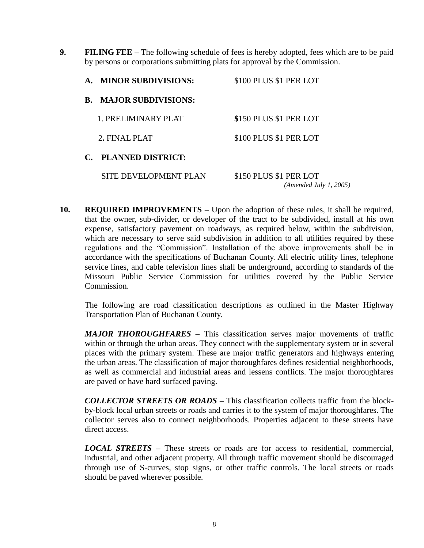**9. FILING FEE –** The following schedule of fees is hereby adopted, fees which are to be paid by persons or corporations submitting plats for approval by the Commission.

| $\mathbf{A}$ . | <b>MINOR SUBDIVISIONS:</b>    | \$100 PLUS \$1 PER LOT |
|----------------|-------------------------------|------------------------|
|                | <b>B. MAJOR SUBDIVISIONS:</b> |                        |
|                | 1. PRELIMINARY PLAT           | \$150 PLUS \$1 PER LOT |
|                | 2. FINAL PLAT                 | \$100 PLUS \$1 PER LOT |
|                | C. PLANNED DISTRICT:          |                        |

 SITE DEVELOPMENT PLAN \$150 PLUS \$1 PER LOT  *(Amended July 1, 2005)*

**10. REQUIRED IMPROVEMENTS –** Upon the adoption of these rules, it shall be required, that the owner, sub-divider, or developer of the tract to be subdivided, install at his own expense, satisfactory pavement on roadways, as required below, within the subdivision, which are necessary to serve said subdivision in addition to all utilities required by these regulations and the "Commission". Installation of the above improvements shall be in accordance with the specifications of Buchanan County. All electric utility lines, telephone service lines, and cable television lines shall be underground, according to standards of the Missouri Public Service Commission for utilities covered by the Public Service Commission.

The following are road classification descriptions as outlined in the Master Highway Transportation Plan of Buchanan County.

*MAJOR THOROUGHFARES –* This classification serves major movements of traffic within or through the urban areas. They connect with the supplementary system or in several places with the primary system. These are major traffic generators and highways entering the urban areas. The classification of major thoroughfares defines residential neighborhoods, as well as commercial and industrial areas and lessens conflicts. The major thoroughfares are paved or have hard surfaced paving.

*COLLECTOR STREETS OR ROADS –* This classification collects traffic from the blockby-block local urban streets or roads and carries it to the system of major thoroughfares. The collector serves also to connect neighborhoods. Properties adjacent to these streets have direct access.

*LOCAL STREETS –* These streets or roads are for access to residential, commercial, industrial, and other adjacent property. All through traffic movement should be discouraged through use of S-curves, stop signs, or other traffic controls. The local streets or roads should be paved wherever possible.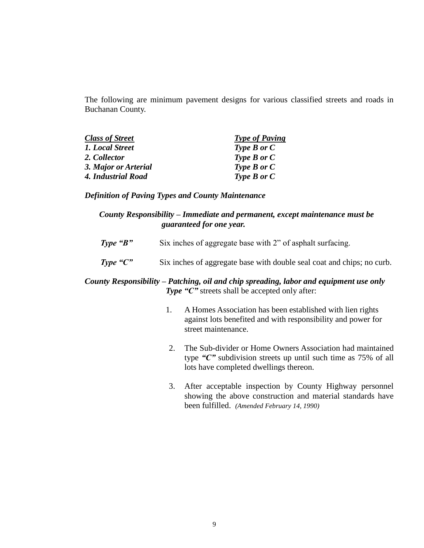The following are minimum pavement designs for various classified streets and roads in Buchanan County.

| <b>Class of Street</b> | <b>Type of Paving</b> |
|------------------------|-----------------------|
| 1. Local Street        | Type $B$ or $C$       |
| 2. Collector           | Type $B$ or $C$       |
| 3. Major or Arterial   | Type $B$ or $C$       |
| 4. Industrial Road     | Type $B$ or $C$       |

#### *Definition of Paving Types and County Maintenance*

### *County Responsibility – Immediate and permanent, except maintenance must be guaranteed for one year.*

- **Type "B"** Six inches of aggregate base with 2" of asphalt surfacing.
- *Type* "C" Six inches of aggregate base with double seal coat and chips; no curb.

## *County Responsibility – Patching, oil and chip spreading, labor and equipment use only Type* "*C*" streets shall be accepted only after:

- 1. A Homes Association has been established with lien rights against lots benefited and with responsibility and power for street maintenance.
- 2. The Sub-divider or Home Owners Association had maintained type *"C"* subdivision streets up until such time as 75% of all lots have completed dwellings thereon.
- 3. After acceptable inspection by County Highway personnel showing the above construction and material standards have been fulfilled. *(Amended February 14, 1990)*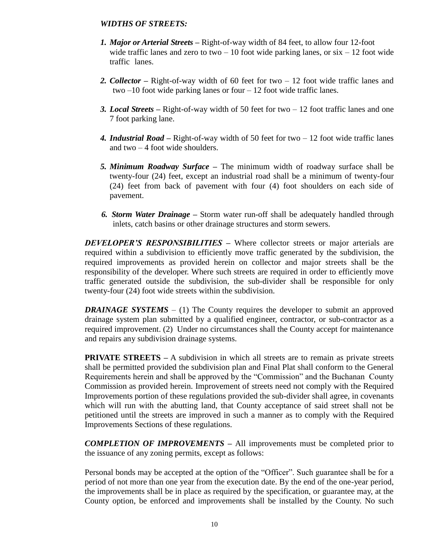### *WIDTHS OF STREETS:*

- *1. Major or Arterial Streets –* Right-of-way width of 84 feet, to allow four 12-foot wide traffic lanes and zero to two  $-10$  foot wide parking lanes, or  $\sin - 12$  foot wide traffic lanes.
- *2. Collector –* Right-of-way width of 60 feet for two 12 foot wide traffic lanes and two –10 foot wide parking lanes or four – 12 foot wide traffic lanes.
- *3. Local Streets –* Right-of-way width of 50 feet for two 12 foot traffic lanes and one 7 foot parking lane.
- *4. Industrial Road –* Right-of-way width of 50 feet for two 12 foot wide traffic lanes and two  $-4$  foot wide shoulders.
- *5. Minimum Roadway Surface –* The minimum width of roadway surface shall be twenty-four (24) feet, except an industrial road shall be a minimum of twenty-four (24) feet from back of pavement with four (4) foot shoulders on each side of pavement.
- *6. Storm Water Drainage –* Storm water run-off shall be adequately handled through inlets, catch basins or other drainage structures and storm sewers.

*DEVELOPER'S RESPONSIBILITIES* – Where collector streets or major arterials are required within a subdivision to efficiently move traffic generated by the subdivision, the required improvements as provided herein on collector and major streets shall be the responsibility of the developer. Where such streets are required in order to efficiently move traffic generated outside the subdivision, the sub-divider shall be responsible for only twenty-four (24) foot wide streets within the subdivision.

*DRAINAGE SYSTEMS* – (1) The County requires the developer to submit an approved drainage system plan submitted by a qualified engineer, contractor, or sub-contractor as a required improvement. (2) Under no circumstances shall the County accept for maintenance and repairs any subdivision drainage systems.

**PRIVATE STREETS –** A subdivision in which all streets are to remain as private streets shall be permitted provided the subdivision plan and Final Plat shall conform to the General Requirements herein and shall be approved by the "Commission" and the Buchanan County Commission as provided herein. Improvement of streets need not comply with the Required Improvements portion of these regulations provided the sub-divider shall agree, in covenants which will run with the abutting land, that County acceptance of said street shall not be petitioned until the streets are improved in such a manner as to comply with the Required Improvements Sections of these regulations.

*COMPLETION OF IMPROVEMENTS* **–** All improvements must be completed prior to the issuance of any zoning permits, except as follows:

Personal bonds may be accepted at the option of the "Officer". Such guarantee shall be for a period of not more than one year from the execution date. By the end of the one-year period, the improvements shall be in place as required by the specification, or guarantee may, at the County option, be enforced and improvements shall be installed by the County. No such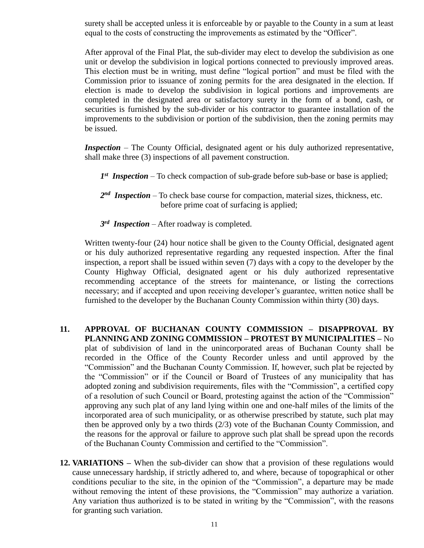surety shall be accepted unless it is enforceable by or payable to the County in a sum at least equal to the costs of constructing the improvements as estimated by the "Officer".

After approval of the Final Plat, the sub-divider may elect to develop the subdivision as one unit or develop the subdivision in logical portions connected to previously improved areas. This election must be in writing, must define "logical portion" and must be filed with the Commission prior to issuance of zoning permits for the area designated in the election. If election is made to develop the subdivision in logical portions and improvements are completed in the designated area or satisfactory surety in the form of a bond, cash, or securities is furnished by the sub-divider or his contractor to guarantee installation of the improvements to the subdivision or portion of the subdivision, then the zoning permits may be issued.

*Inspection* – The County Official, designated agent or his duly authorized representative, shall make three (3) inspections of all pavement construction.

- $I<sup>st</sup>$  *Inspection* To check compaction of sub-grade before sub-base or base is applied;
- 2<sup>nd</sup> Inspection To check base course for compaction, material sizes, thickness, etc. before prime coat of surfacing is applied;
- *3 rd Inspection* After roadway is completed.

Written twenty-four (24) hour notice shall be given to the County Official, designated agent or his duly authorized representative regarding any requested inspection. After the final inspection, a report shall be issued within seven (7) days with a copy to the developer by the County Highway Official, designated agent or his duly authorized representative recommending acceptance of the streets for maintenance, or listing the corrections necessary; and if accepted and upon receiving developer's guarantee, written notice shall be furnished to the developer by the Buchanan County Commission within thirty (30) days.

- **11. APPROVAL OF BUCHANAN COUNTY COMMISSION – DISAPPROVAL BY PLANNING AND ZONING COMMISSION – PROTEST BY MUNICIPALITIES –** No plat of subdivision of land in the unincorporated areas of Buchanan County shall be recorded in the Office of the County Recorder unless and until approved by the "Commission" and the Buchanan County Commission. If, however, such plat be rejected by the "Commission" or if the Council or Board of Trustees of any municipality that has adopted zoning and subdivision requirements, files with the "Commission", a certified copy of a resolution of such Council or Board, protesting against the action of the "Commission" approving any such plat of any land lying within one and one-half miles of the limits of the incorporated area of such municipality, or as otherwise prescribed by statute, such plat may then be approved only by a two thirds (2/3) vote of the Buchanan County Commission, and the reasons for the approval or failure to approve such plat shall be spread upon the records of the Buchanan County Commission and certified to the "Commission".
- **12. VARIATIONS –** When the sub-divider can show that a provision of these regulations would cause unnecessary hardship, if strictly adhered to, and where, because of topographical or other conditions peculiar to the site, in the opinion of the "Commission", a departure may be made without removing the intent of these provisions, the "Commission" may authorize a variation. Any variation thus authorized is to be stated in writing by the "Commission", with the reasons for granting such variation.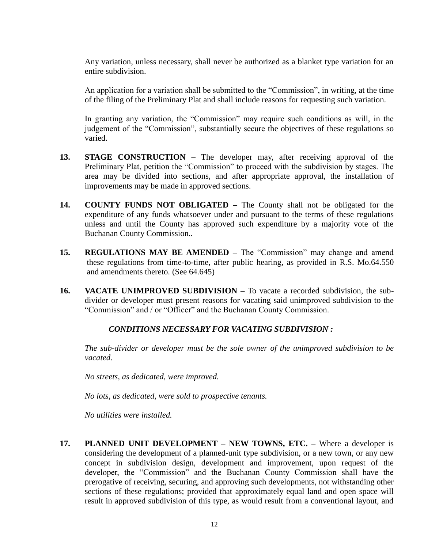Any variation, unless necessary, shall never be authorized as a blanket type variation for an entire subdivision.

An application for a variation shall be submitted to the "Commission", in writing, at the time of the filing of the Preliminary Plat and shall include reasons for requesting such variation.

In granting any variation, the "Commission" may require such conditions as will, in the judgement of the "Commission", substantially secure the objectives of these regulations so varied.

- **13. STAGE CONSTRUCTION –** The developer may, after receiving approval of the Preliminary Plat, petition the "Commission" to proceed with the subdivision by stages. The area may be divided into sections, and after appropriate approval, the installation of improvements may be made in approved sections.
- **14. COUNTY FUNDS NOT OBLIGATED –** The County shall not be obligated for the expenditure of any funds whatsoever under and pursuant to the terms of these regulations unless and until the County has approved such expenditure by a majority vote of the Buchanan County Commission..
- **15. REGULATIONS MAY BE AMENDED –** The "Commission" may change and amend these regulations from time-to-time, after public hearing, as provided in R.S. Mo.64.550 and amendments thereto. (See 64.645)
- **16. VACATE UNIMPROVED SUBDIVISION –** To vacate a recorded subdivision, the subdivider or developer must present reasons for vacating said unimproved subdivision to the "Commission" and / or "Officer" and the Buchanan County Commission.

### *CONDITIONS NECESSARY FOR VACATING SUBDIVISION :*

*The sub-divider or developer must be the sole owner of the unimproved subdivision to be vacated.*

*No streets, as dedicated, were improved.*

*No lots, as dedicated, were sold to prospective tenants.*

*No utilities were installed.*

**17. PLANNED UNIT DEVELOPMENT – NEW TOWNS, ETC. –** Where a developer is considering the development of a planned-unit type subdivision, or a new town, or any new concept in subdivision design, development and improvement, upon request of the developer, the "Commission" and the Buchanan County Commission shall have the prerogative of receiving, securing, and approving such developments, not withstanding other sections of these regulations; provided that approximately equal land and open space will result in approved subdivision of this type, as would result from a conventional layout, and